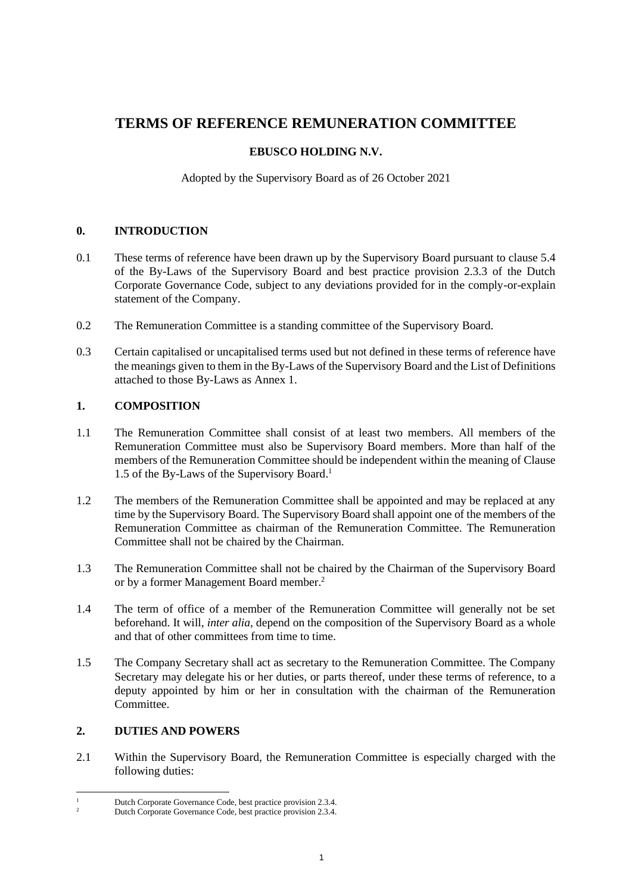# **TERMS OF REFERENCE REMUNERATION COMMITTEE**

### **EBUSCO HOLDING N.V.**

Adopted by the Supervisory Board as of 26 October 2021

### **0. INTRODUCTION**

- 0.1 These terms of reference have been drawn up by the Supervisory Board pursuant to clause 5.4 of the By-Laws of the Supervisory Board and best practice provision 2.3.3 of the Dutch Corporate Governance Code, subject to any deviations provided for in the comply-or-explain statement of the Company.
- 0.2 The Remuneration Committee is a standing committee of the Supervisory Board.
- 0.3 Certain capitalised or uncapitalised terms used but not defined in these terms of reference have the meanings given to them in the By-Laws of the Supervisory Board and the List of Definitions attached to those By-Laws as Annex 1.

### **1. COMPOSITION**

- 1.1 The Remuneration Committee shall consist of at least two members. All members of the Remuneration Committee must also be Supervisory Board members. More than half of the members of the Remuneration Committee should be independent within the meaning of Clause 1.5 of the By-Laws of the Supervisory Board. 1
- 1.2 The members of the Remuneration Committee shall be appointed and may be replaced at any time by the Supervisory Board. The Supervisory Board shall appoint one of the members of the Remuneration Committee as chairman of the Remuneration Committee. The Remuneration Committee shall not be chaired by the Chairman.
- 1.3 The Remuneration Committee shall not be chaired by the Chairman of the Supervisory Board or by a former Management Board member. 2
- 1.4 The term of office of a member of the Remuneration Committee will generally not be set beforehand. It will, *inter alia*, depend on the composition of the Supervisory Board as a whole and that of other committees from time to time.
- 1.5 The Company Secretary shall act as secretary to the Remuneration Committee. The Company Secretary may delegate his or her duties, or parts thereof, under these terms of reference, to a deputy appointed by him or her in consultation with the chairman of the Remuneration **Committee**

### **2. DUTIES AND POWERS**

2.1 Within the Supervisory Board, the Remuneration Committee is especially charged with the following duties:

<sup>&</sup>lt;sup>1</sup> Dutch Corporate Governance Code, best practice provision 2.3.4.

<sup>2</sup> Dutch Corporate Governance Code, best practice provision 2.3.4.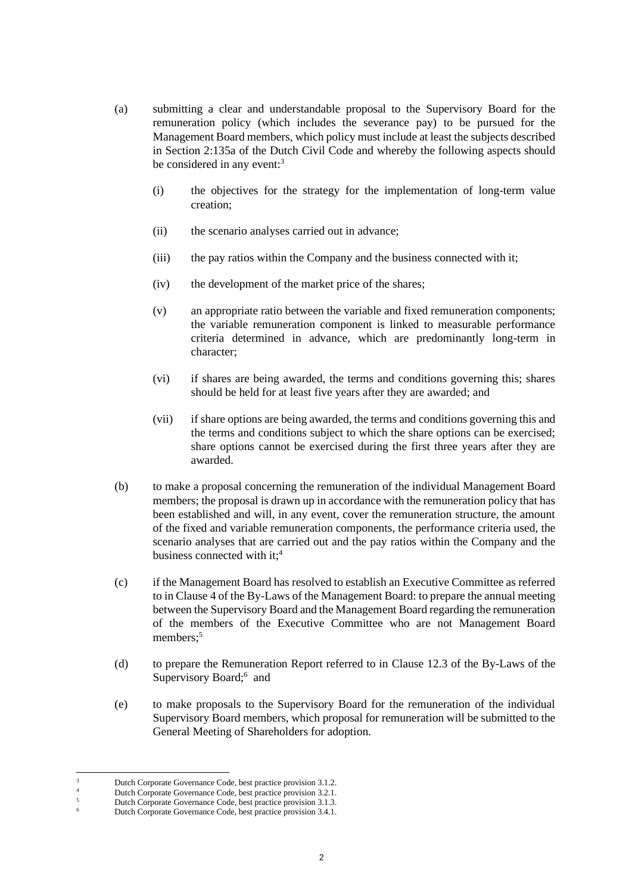- <span id="page-1-0"></span>(a) submitting a clear and understandable proposal to the Supervisory Board for the remuneration policy (which includes the severance pay) to be pursued for the Management Board members, which policy must include at least the subjects described in Section 2:135a of the Dutch Civil Code and whereby the following aspects should be considered in any event:<sup>3</sup>
	- (i) the objectives for the strategy for the implementation of long-term value creation;
	- (ii) the scenario analyses carried out in advance;
	- (iii) the pay ratios within the Company and the business connected with it;
	- (iv) the development of the market price of the shares;
	- (v) an appropriate ratio between the variable and fixed remuneration components; the variable remuneration component is linked to measurable performance criteria determined in advance, which are predominantly long-term in character;
	- (vi) if shares are being awarded, the terms and conditions governing this; shares should be held for at least five years after they are awarded; and
	- (vii) if share options are being awarded, the terms and conditions governing this and the terms and conditions subject to which the share options can be exercised; share options cannot be exercised during the first three years after they are awarded.
- (b) to make a proposal concerning the remuneration of the individual Management Board members; the proposal is drawn up in accordance with the remuneration policy that has been established and will, in any event, cover the remuneration structure, the amount of the fixed and variable remuneration components, the performance criteria used, the scenario analyses that are carried out and the pay ratios within the Company and the business connected with it; 4
- (c) if the Management Board has resolved to establish an Executive Committee as referred to in Clause 4 of the By-Laws of the Management Board: to prepare the annual meeting between the Supervisory Board and the Management Board regarding the remuneration of the members of the Executive Committee who are not Management Board members; 5
- (d) to prepare the Remuneration Report referred to in Clause 12.3 of the By-Laws of the Supervisory Board;<sup>6</sup> and
- (e) to make proposals to the Supervisory Board for the remuneration of the individual Supervisory Board members, which proposal for remuneration will be submitted to the General Meeting of Shareholders for adoption.

<sup>3</sup> Dutch Corporate Governance Code, best practice provision 3.1.2.

<sup>4</sup> Dutch Corporate Governance Code, best practice provision 3.2.1.

<sup>5</sup> Dutch Corporate Governance Code, best practice provision 3.1.3.

Dutch Corporate Governance Code, best practice provision 3.4.1.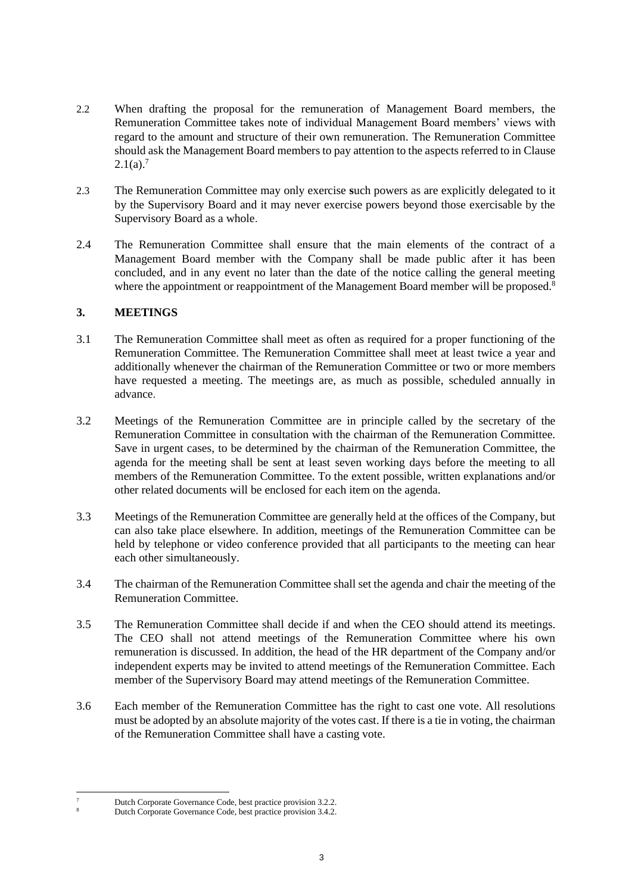- 2.2 When drafting the proposal for the remuneration of Management Board members, the Remuneration Committee takes note of individual Management Board members' views with regard to the amount and structure of their own remuneration. The Remuneration Committee should ask the Management Board members to pay attention to the aspects referred to in Clause  $2.1(a).<sup>7</sup>$  $2.1(a).<sup>7</sup>$
- 2.3 The Remuneration Committee may only exercise **s**uch powers as are explicitly delegated to it by the Supervisory Board and it may never exercise powers beyond those exercisable by the Supervisory Board as a whole.
- 2.4 The Remuneration Committee shall ensure that the main elements of the contract of a Management Board member with the Company shall be made public after it has been concluded, and in any event no later than the date of the notice calling the general meeting where the appointment or reappointment of the Management Board member will be proposed.<sup>8</sup>

### **3. MEETINGS**

- 3.1 The Remuneration Committee shall meet as often as required for a proper functioning of the Remuneration Committee. The Remuneration Committee shall meet at least twice a year and additionally whenever the chairman of the Remuneration Committee or two or more members have requested a meeting. The meetings are, as much as possible, scheduled annually in advance.
- 3.2 Meetings of the Remuneration Committee are in principle called by the secretary of the Remuneration Committee in consultation with the chairman of the Remuneration Committee. Save in urgent cases, to be determined by the chairman of the Remuneration Committee, the agenda for the meeting shall be sent at least seven working days before the meeting to all members of the Remuneration Committee. To the extent possible, written explanations and/or other related documents will be enclosed for each item on the agenda.
- 3.3 Meetings of the Remuneration Committee are generally held at the offices of the Company, but can also take place elsewhere. In addition, meetings of the Remuneration Committee can be held by telephone or video conference provided that all participants to the meeting can hear each other simultaneously.
- 3.4 The chairman of the Remuneration Committee shall set the agenda and chair the meeting of the Remuneration Committee.
- 3.5 The Remuneration Committee shall decide if and when the CEO should attend its meetings. The CEO shall not attend meetings of the Remuneration Committee where his own remuneration is discussed. In addition, the head of the HR department of the Company and/or independent experts may be invited to attend meetings of the Remuneration Committee. Each member of the Supervisory Board may attend meetings of the Remuneration Committee.
- 3.6 Each member of the Remuneration Committee has the right to cast one vote. All resolutions must be adopted by an absolute majority of the votes cast. If there is a tie in voting, the chairman of the Remuneration Committee shall have a casting vote.

Dutch Corporate Governance Code, best practice provision 3.2.2.

Dutch Corporate Governance Code, best practice provision 3.4.2.